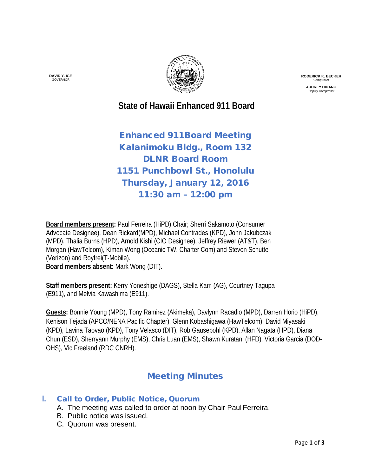

**RODERICK K. BECKER** Comptrolle

> **AUDREY HIDANO** Deputy Comptrolle

**DAVID Y. IGE** GOVERNOR

# **State of Hawaii Enhanced 911 Board**

Enhanced 911Board Meeting Kalanimoku Bldg., Room 132 DLNR Board Room 1151 Punchbowl St., Honolulu Thursday, January 12, 2016 11:30 am – 12:00 pm

**Board members present:** Paul Ferreira (HiPD) Chair; Sherri Sakamoto (Consumer Advocate Designee), Dean Rickard(MPD), Michael Contrades (KPD), John Jakubczak (MPD), Thalia Burns (HPD), Arnold Kishi (CIO Designee), Jeffrey Riewer (AT&T), Ben Morgan (HawTelcom), Kiman Wong (Oceanic TW, Charter Com) and Steven Schutte (Verizon) and RoyIrei(T-Mobile).

**Board members absent:** Mark Wong (DIT).

**Staff members present:** Kerry Yoneshige (DAGS), Stella Kam (AG), Courtney Tagupa (E911), and Melvia Kawashima (E911).

**Guests:** Bonnie Young (MPD), Tony Ramirez (Akimeka), Davlynn Racadio (MPD), Darren Horio (HiPD), Kenison Tejada (APCO/NENA Pacific Chapter), Glenn Kobashigawa (HawTelcom), David Miyasaki (KPD), Lavina Taovao (KPD), Tony Velasco (DIT), Rob Gausepohl (KPD), Allan Nagata (HPD), Diana Chun (ESD), Sherryann Murphy (EMS), Chris Luan (EMS), Shawn Kuratani (HFD), Victoria Garcia (DOD-OHS), Vic Freeland (RDC CNRH).

## Meeting Minutes

### **I.** Call to Order, Public Notice, Quorum

- A. The meeting was called to order at noon by Chair Paul Ferreira.
- B. Public notice was issued.
- C. Quorum was present.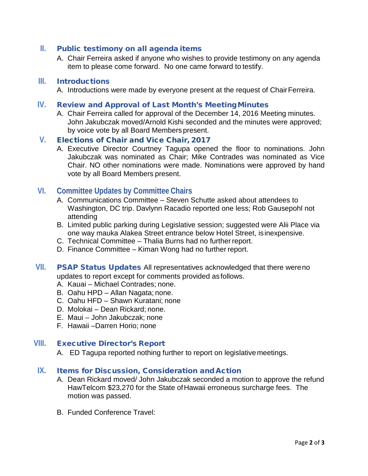#### **II.** Public testimony on all agenda items

A. Chair Ferreira asked if anyone who wishes to provide testimony on any agenda item to please come forward. No one came forward to testify.

#### **III.** Introductions

A. Introductions were made by everyone present at the request of Chair Ferreira.

#### **IV.** Review and Approval of Last Month's MeetingMinutes

A. Chair Ferreira called for approval of the December 14, 2016 Meeting minutes. John Jakubczak moved/Arnold Kishi seconded and the minutes were approved; by voice vote by all Board Members present.

#### **V.** Elections of Chair and Vice Chair, 2017

A. Executive Director Courtney Tagupa opened the floor to nominations. John Jakubczak was nominated as Chair; Mike Contrades was nominated as Vice Chair. NO other nominations were made. Nominations were approved by hand vote by all Board Members present.

#### **VI. Committee Updates by Committee Chairs**

- A. Communications Committee Steven Schutte asked about attendees to Washington, DC trip. Davlynn Racadio reported one less; Rob Gausepohl not attending
- B. Limited public parking during Legislative session; suggested were Alii Place via one way mauka Alakea Street entrance below Hotel Street, isinexpensive.
- C. Technical Committee Thalia Burns had no further report.
- D. Finance Committee Kiman Wong had no further report.
- **VII.** PSAP Status Updates All representatives acknowledged that there wereno updates to report except for comments provided as follows.
	- A. Kauai Michael Contrades; none.
	- B. Oahu HPD Allan Nagata; none.
	- C. Oahu HFD Shawn Kuratani; none
	- D. Molokai Dean Rickard; none.
	- E. Maui John Jakubczak; none
	- F. Hawaii –Darren Horio; none

#### **VIII.** Executive Director's Report

A. ED Tagupa reported nothing further to report on legislativemeetings.

#### **IX.** Items for Discussion, Consideration and Action

- A. Dean Rickard moved/ John Jakubczak seconded a motion to approve the refund HawTelcom \$23,270 for the State ofHawaii erroneous surcharge fees. The motion was passed.
- B. Funded Conference Travel: